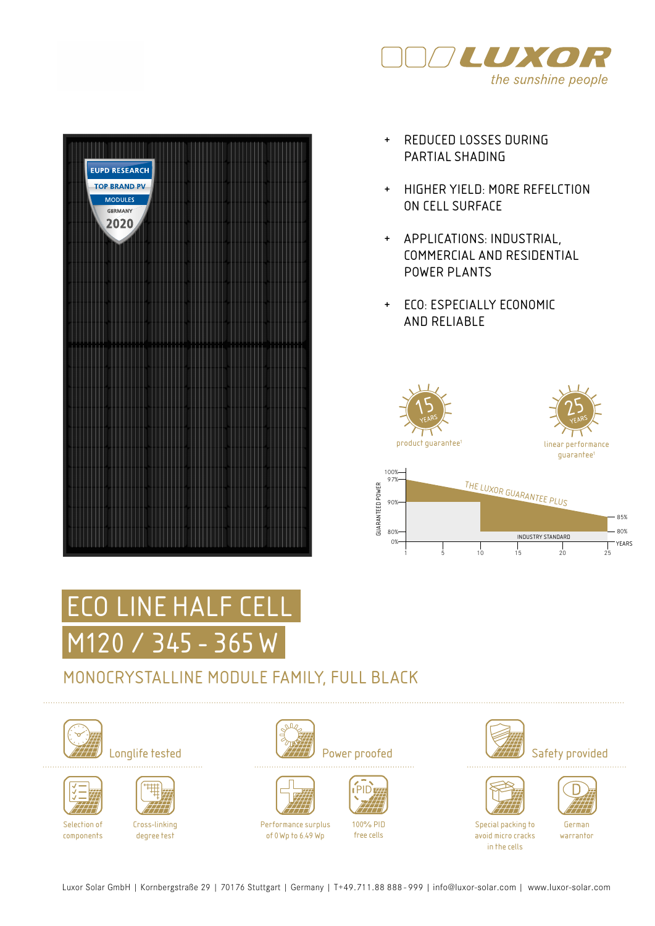

| <b>EUPD RESEARCH</b><br><b>TOP BRAND PV</b><br><b>MODULES</b><br><b>GERMANY</b><br>2020 |        |  |
|-----------------------------------------------------------------------------------------|--------|--|
|                                                                                         |        |  |
|                                                                                         |        |  |
| ì<br>m<br>ı<br>ı<br>ı                                                                   | m<br>н |  |
|                                                                                         |        |  |
|                                                                                         |        |  |
|                                                                                         |        |  |

- + REDUCED LOSSES DURING PARTIAL SHADING
- + HIGHER YIELD: MORE REFELCTION ON CELL SURFACE
- + APPLICATIONS: INDUSTRIAL, COMMERCIAL AND RESIDENTIAL POWER PLANTS
- + ECO: ESPECIALLY ECONOMIC AND RELIABLE



# ECO LINE HALF CEI M120 / 345 - 365 W

### MONOCRYSTALLINE MODULE FAMILY, FULL BLACK







Selection of components

Cross-linking degree test







Performance surplus of 0Wp to 6.49 Wp



free cells









Special packing to avoid micro cracks in the cells

German warrantor